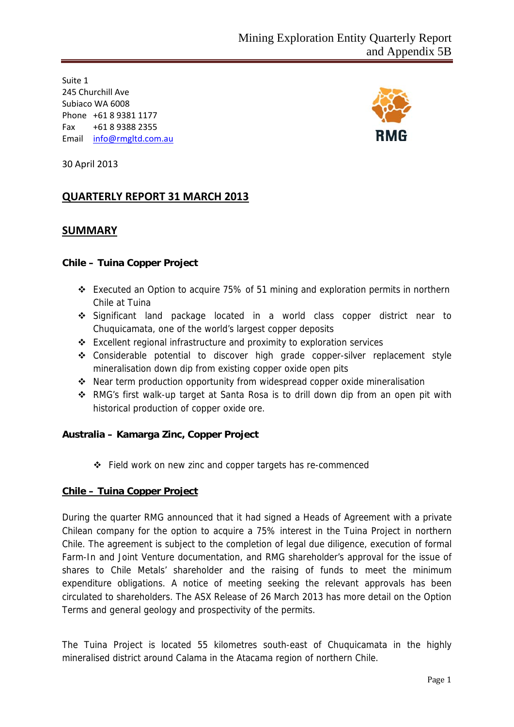Suite 1 245 Churchill Ave Subiaco WA 6008 Phone +61 8 9381 1177 Fax +61 8 9388 2355 Email info@rmgltd.com.au



30 April 2013

# **QUARTERLY REPORT 31 MARCH 2013**

## **SUMMARY**

### **Chile – Tuina Copper Project**

- Executed an Option to acquire 75% of 51 mining and exploration permits in northern Chile at Tuina
- Significant land package located in a world class copper district near to Chuquicamata, one of the world's largest copper deposits
- Excellent regional infrastructure and proximity to exploration services
- Considerable potential to discover high grade copper-silver replacement style mineralisation down dip from existing copper oxide open pits
- Near term production opportunity from widespread copper oxide mineralisation
- RMG's first walk-up target at Santa Rosa is to drill down dip from an open pit with historical production of copper oxide ore.

### **Australia – Kamarga Zinc, Copper Project**

Field work on new zinc and copper targets has re-commenced

### **Chile – Tuina Copper Project**

During the quarter RMG announced that it had signed a Heads of Agreement with a private Chilean company for the option to acquire a 75% interest in the Tuina Project in northern Chile. The agreement is subject to the completion of legal due diligence, execution of formal Farm-In and Joint Venture documentation, and RMG shareholder's approval for the issue of shares to Chile Metals' shareholder and the raising of funds to meet the minimum expenditure obligations. A notice of meeting seeking the relevant approvals has been circulated to shareholders. The ASX Release of 26 March 2013 has more detail on the Option Terms and general geology and prospectivity of the permits.

The Tuina Project is located 55 kilometres south-east of Chuquicamata in the highly mineralised district around Calama in the Atacama region of northern Chile.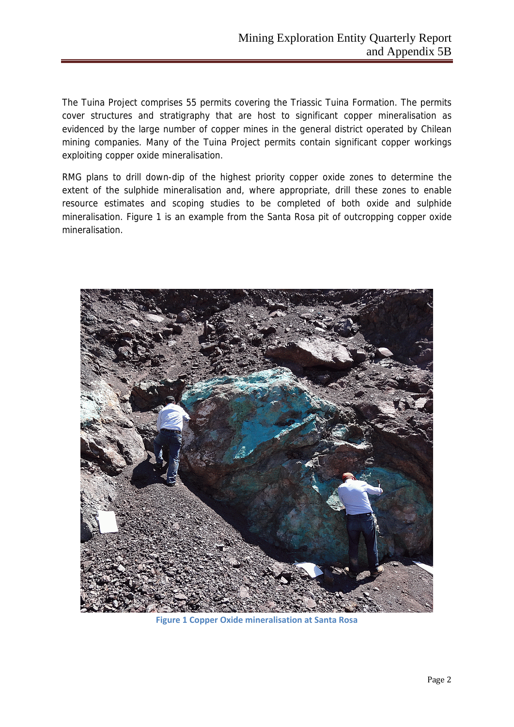The Tuina Project comprises 55 permits covering the Triassic Tuina Formation. The permits cover structures and stratigraphy that are host to significant copper mineralisation as evidenced by the large number of copper mines in the general district operated by Chilean mining companies. Many of the Tuina Project permits contain significant copper workings exploiting copper oxide mineralisation.

RMG plans to drill down-dip of the highest priority copper oxide zones to determine the extent of the sulphide mineralisation and, where appropriate, drill these zones to enable resource estimates and scoping studies to be completed of both oxide and sulphide mineralisation. Figure 1 is an example from the Santa Rosa pit of outcropping copper oxide mineralisation.



**Figure 1 Copper Oxide mineralisation at Santa Rosa**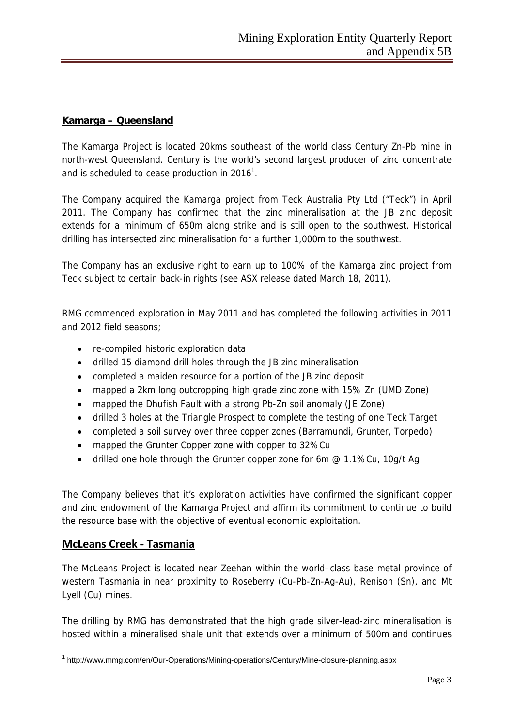### **Kamarga – Queensland**

The Kamarga Project is located 20kms southeast of the world class Century Zn-Pb mine in north-west Queensland. Century is the world's second largest producer of zinc concentrate and is scheduled to cease production in  $2016<sup>1</sup>$ .

The Company acquired the Kamarga project from Teck Australia Pty Ltd ("Teck") in April 2011. The Company has confirmed that the zinc mineralisation at the JB zinc deposit extends for a minimum of 650m along strike and is still open to the southwest. Historical drilling has intersected zinc mineralisation for a further 1,000m to the southwest.

The Company has an exclusive right to earn up to 100% of the Kamarga zinc project from Teck subject to certain back-in rights (see ASX release dated March 18, 2011).

RMG commenced exploration in May 2011 and has completed the following activities in 2011 and 2012 field seasons;

- re-compiled historic exploration data
- drilled 15 diamond drill holes through the JB zinc mineralisation
- completed a maiden resource for a portion of the JB zinc deposit
- mapped a 2km long outcropping high grade zinc zone with 15% Zn (UMD Zone)
- mapped the Dhufish Fault with a strong Pb-Zn soil anomaly (JE Zone)
- drilled 3 holes at the Triangle Prospect to complete the testing of one Teck Target
- completed a soil survey over three copper zones (Barramundi, Grunter, Torpedo)
- mapped the Grunter Copper zone with copper to 32%Cu
- drilled one hole through the Grunter copper zone for 6m @ 1.1%Cu, 10g/t Ag

The Company believes that it's exploration activities have confirmed the significant copper and zinc endowment of the Kamarga Project and affirm its commitment to continue to build the resource base with the objective of eventual economic exploitation.

### **McLeans Creek ‐ Tasmania**

The McLeans Project is located near Zeehan within the world–class base metal province of western Tasmania in near proximity to Roseberry (Cu-Pb-Zn-Ag-Au), Renison (Sn), and Mt Lyell (Cu) mines.

The drilling by RMG has demonstrated that the high grade silver-lead-zinc mineralisation is hosted within a mineralised shale unit that extends over a minimum of 500m and continues

<sup>&</sup>lt;sup>1</sup> http://www.mmg.com/en/Our-Operations/Mining-operations/Century/Mine-closure-planning.aspx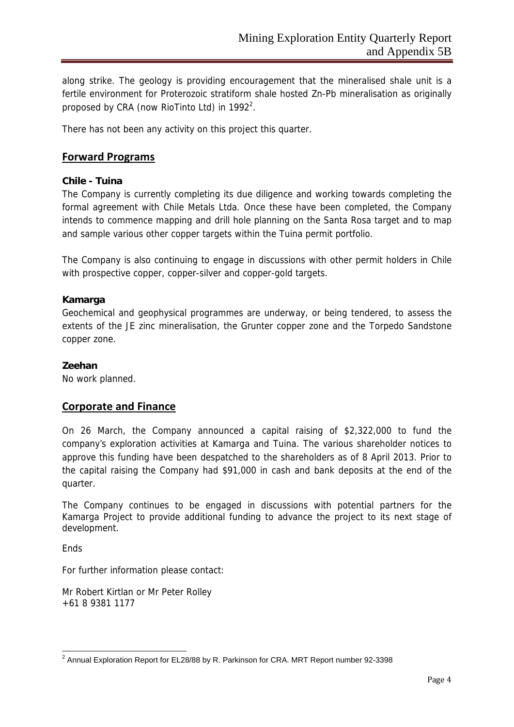along strike. The geology is providing encouragement that the mineralised shale unit is a fertile environment for Proterozoic stratiform shale hosted Zn-Pb mineralisation as originally proposed by CRA (now RioTinto Ltd) in  $1992^2$ .

There has not been any activity on this project this quarter.

### **Forward Programs**

### **Chile - Tuina**

The Company is currently completing its due diligence and working towards completing the formal agreement with Chile Metals Ltda. Once these have been completed, the Company intends to commence mapping and drill hole planning on the Santa Rosa target and to map and sample various other copper targets within the Tuina permit portfolio.

The Company is also continuing to engage in discussions with other permit holders in Chile with prospective copper, copper-silver and copper-gold targets.

### **Kamarga**

Geochemical and geophysical programmes are underway, or being tendered, to assess the extents of the JE zinc mineralisation, the Grunter copper zone and the Torpedo Sandstone copper zone.

### **Zeehan**

No work planned.

### **Corporate and Finance**

On 26 March, the Company announced a capital raising of \$2,322,000 to fund the company's exploration activities at Kamarga and Tuina. The various shareholder notices to approve this funding have been despatched to the shareholders as of 8 April 2013. Prior to the capital raising the Company had \$91,000 in cash and bank deposits at the end of the quarter.

The Company continues to be engaged in discussions with potential partners for the Kamarga Project to provide additional funding to advance the project to its next stage of development.

Ends

For further information please contact:

Mr Robert Kirtlan or Mr Peter Rolley +61 8 9381 1177

 2 Annual Exploration Report for EL28/88 by R. Parkinson for CRA. MRT Report number 92-3398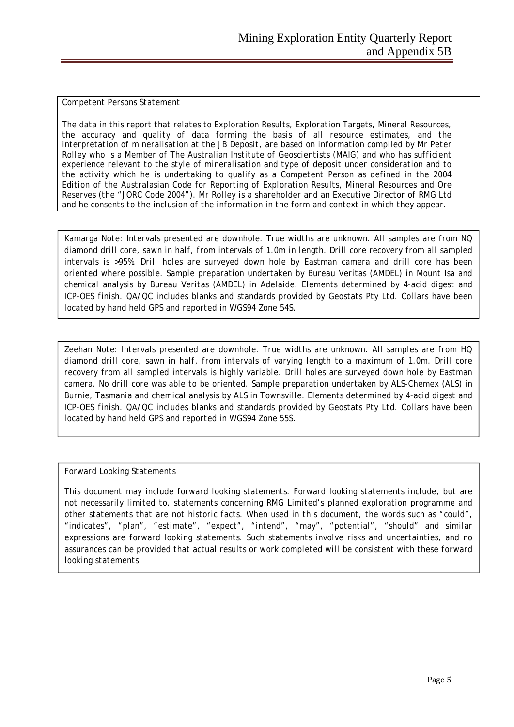#### *Competent Persons Statement*

*The data in this report that relates to Exploration Results, Exploration Targets, Mineral Resources, the accuracy and quality of data forming the basis of all resource estimates, and the interpretation of mineralisation at the JB Deposit, are based on information compiled by Mr Peter Rolley who is a Member of The Australian Institute of Geoscientists (MAIG) and who has sufficient experience relevant to the style of mineralisation and type of deposit under consideration and to the activity which he is undertaking to qualify as a Competent Person as defined in the 2004 Edition of the Australasian Code for Reporting of Exploration Results, Mineral Resources and Ore Reserves (the "JORC Code 2004"). Mr Rolley is a shareholder and an Executive Director of RMG Ltd and he consents to the inclusion of the information in the form and context in which they appear.* 

*Kamarga Note: Intervals presented are downhole. True widths are unknown. All samples are from NQ diamond drill core, sawn in half, from intervals of 1.0m in length. Drill core recovery from all sampled intervals is >95%. Drill holes are surveyed down hole by Eastman camera and drill core has been oriented where possible. Sample preparation undertaken by Bureau Veritas (AMDEL) in Mount Isa and chemical analysis by Bureau Veritas (AMDEL) in Adelaide. Elements determined by 4-acid digest and ICP-OES finish. QA/QC includes blanks and standards provided by Geostats Pty Ltd. Collars have been located by hand held GPS and reported in WGS94 Zone 54S.* 

*Zeehan Note: Intervals presented are downhole. True widths are unknown. All samples are from HQ diamond drill core, sawn in half, from intervals of varying length to a maximum of 1.0m. Drill core recovery from all sampled intervals is highly variable. Drill holes are surveyed down hole by Eastman camera. No drill core was able to be oriented. Sample preparation undertaken by ALS-Chemex (ALS) in Burnie, Tasmania and chemical analysis by ALS in Townsville. Elements determined by 4-acid digest and ICP-OES finish. QA/QC includes blanks and standards provided by Geostats Pty Ltd. Collars have been located by hand held GPS and reported in WGS94 Zone 55S.* 

#### *Forward Looking Statements*

*This document may include forward looking statements. Forward looking statements include, but are not necessarily limited to, statements concerning RMG Limited's planned exploration programme and other statements that are not historic facts. When used in this document, the words such as "could", "indicates", "plan", "estimate", "expect", "intend", "may", "potential", "should" and similar expressions are forward looking statements. Such statements involve risks and uncertainties, and no assurances can be provided that actual results or work completed will be consistent with these forward looking statements.*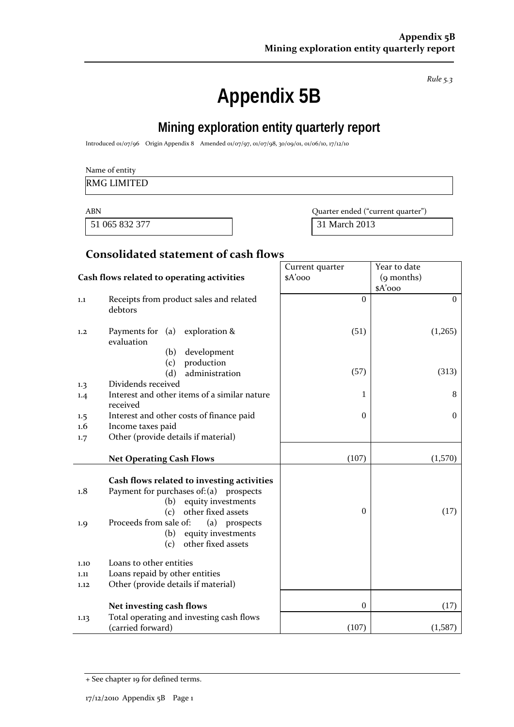*Rule 5.3*

# **Appendix 5B**

# **Mining exploration entity quarterly report**

Introduced 01/07/96 Origin Appendix 8 Amended 01/07/97, 01/07/98, 30/09/01, 01/06/10, 17/12/10

|  | Name of entity |  |
|--|----------------|--|
|--|----------------|--|

### RMG LIMITED

51 065 832 377 31 March 2013

ABN Quarter ended ("current quarter")

# **Consolidated statement of cash flows**

|                                    |                                                                                                                                                                                                                                                                                                                                                          | Current quarter  | Year to date     |
|------------------------------------|----------------------------------------------------------------------------------------------------------------------------------------------------------------------------------------------------------------------------------------------------------------------------------------------------------------------------------------------------------|------------------|------------------|
|                                    | Cash flows related to operating activities                                                                                                                                                                                                                                                                                                               | $A'$ ooo         | (9 months)       |
|                                    |                                                                                                                                                                                                                                                                                                                                                          |                  | $A'$ 000         |
| 1.1                                | Receipts from product sales and related<br>debtors                                                                                                                                                                                                                                                                                                       | $\Omega$         | $\boldsymbol{0}$ |
| 1,2                                | Payments for $(a)$ exploration &<br>evaluation                                                                                                                                                                                                                                                                                                           | (51)             | (1,265)          |
|                                    | (b)<br>development                                                                                                                                                                                                                                                                                                                                       |                  |                  |
|                                    | production<br>(c)                                                                                                                                                                                                                                                                                                                                        |                  |                  |
|                                    | administration<br>(d)                                                                                                                                                                                                                                                                                                                                    | (57)             | (313)            |
| 1.3                                | Dividends received                                                                                                                                                                                                                                                                                                                                       |                  |                  |
| 1.4                                | Interest and other items of a similar nature<br>received                                                                                                                                                                                                                                                                                                 | 1                | 8                |
| 1.5                                | Interest and other costs of finance paid                                                                                                                                                                                                                                                                                                                 | $\mathbf{0}$     | $\overline{0}$   |
| 1.6                                | Income taxes paid                                                                                                                                                                                                                                                                                                                                        |                  |                  |
| 1.7                                | Other (provide details if material)                                                                                                                                                                                                                                                                                                                      |                  |                  |
|                                    |                                                                                                                                                                                                                                                                                                                                                          |                  |                  |
|                                    | <b>Net Operating Cash Flows</b>                                                                                                                                                                                                                                                                                                                          | (107)            | (1,570)          |
| 1.8<br>1.9<br>1.10<br>1.11<br>1.12 | Cash flows related to investing activities<br>Payment for purchases of: (a) prospects<br>equity investments<br>(b)<br>other fixed assets<br>(c)<br>Proceeds from sale of:<br>(a) prospects<br>equity investments<br>(b)<br>other fixed assets<br>(c)<br>Loans to other entities<br>Loans repaid by other entities<br>Other (provide details if material) | $\Omega$         | (17)             |
|                                    | Net investing cash flows                                                                                                                                                                                                                                                                                                                                 | $\boldsymbol{0}$ | (17)             |
| 1.13                               | Total operating and investing cash flows<br>(carried forward)                                                                                                                                                                                                                                                                                            | (107)            | (1,587)          |

<sup>+</sup> See chapter 19 for defined terms.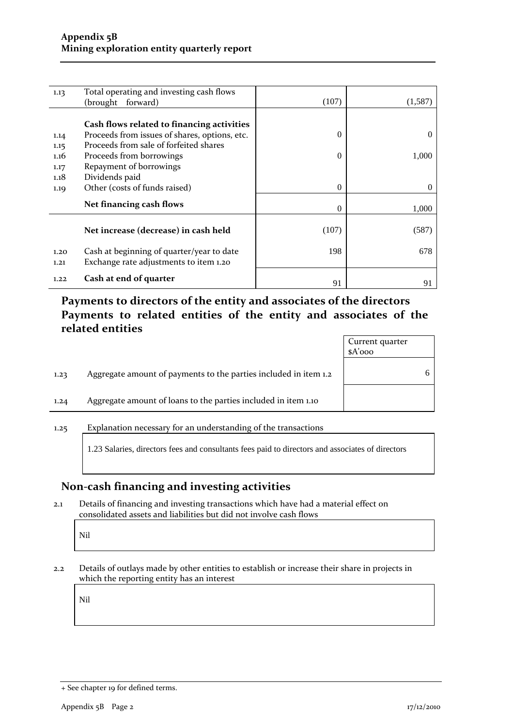| 1.13 | Total operating and investing cash flows      |          |          |
|------|-----------------------------------------------|----------|----------|
|      | forward)<br>(brought)                         | (107)    | (1,587)  |
|      |                                               |          |          |
|      | Cash flows related to financing activities    |          |          |
| 1.14 | Proceeds from issues of shares, options, etc. | 0        | $\Omega$ |
| 1.15 | Proceeds from sale of forfeited shares        |          |          |
| 1.16 | Proceeds from borrowings                      | 0        | 1,000    |
| 1.17 | Repayment of borrowings                       |          |          |
| 1.18 | Dividends paid                                |          |          |
| 1.19 | Other (costs of funds raised)                 | $\Omega$ | $\Omega$ |
|      | Net financing cash flows                      |          |          |
|      |                                               | $\Omega$ | 1,000    |
|      |                                               |          |          |
|      | Net increase (decrease) in cash held          | (107)    | (587)    |
|      |                                               |          |          |
| 1.20 | Cash at beginning of quarter/year to date     | 198      | 678      |
| 1.21 | Exchange rate adjustments to item 1.20        |          |          |
|      | Cash at end of quarter                        |          |          |
| 1.22 |                                               | 91       |          |

# **Payments to directors of the entity and associates of the directors Payments to related entities of the entity and associates of the related entities**

|      |                                                                  | Current quarter<br>$A'$ ooo |   |
|------|------------------------------------------------------------------|-----------------------------|---|
| 1.23 | Aggregate amount of payments to the parties included in item 1.2 |                             | 6 |
| 1.24 | Aggregate amount of loans to the parties included in item 1.10   |                             |   |
|      |                                                                  |                             |   |

### 1.25 Explanation necessary for an understanding of the transactions

1.23 Salaries, directors fees and consultants fees paid to directors and associates of directors

## **Non‐cash financing and investing activities**

2.1 Details of financing and investing transactions which have had a material effect on consolidated assets and liabilities but did not involve cash flows

Nil

2.2 Details of outlays made by other entities to establish or increase their share in projects in which the reporting entity has an interest

Nil

<sup>+</sup> See chapter 19 for defined terms.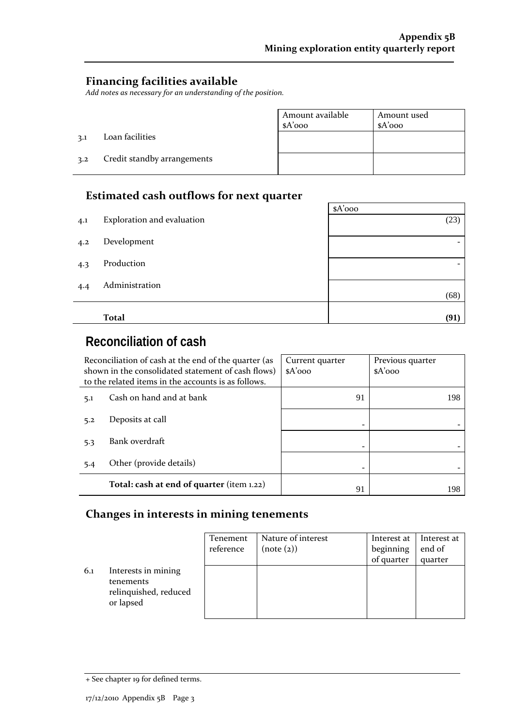$\overline{\phantom{0}}$ 

# **Financing facilities available**

*Add notes as necessary for an understanding of the position.*

|     |                             | Amount available | Amount used |
|-----|-----------------------------|------------------|-------------|
|     |                             | $A'$ 000         | $A'$ 000    |
| 3.1 | Loan facilities             |                  |             |
| 3.2 | Credit standby arrangements |                  |             |

# **Estimated cash outflows for next quarter**

|     |                            | $A'$ 000 |
|-----|----------------------------|----------|
| 4.1 | Exploration and evaluation | (23)     |
| 4.2 | Development                | -        |
| 4.3 | Production                 |          |
| 4.4 | Administration             | (68)     |
|     |                            |          |
|     | <b>Total</b>               | (91)     |

# **Reconciliation of cash**

| Reconciliation of cash at the end of the quarter (as<br>shown in the consolidated statement of cash flows)<br>to the related items in the accounts is as follows. |                                           | Current quarter<br>$A'$ 000 | Previous quarter<br>$A'$ 000 |
|-------------------------------------------------------------------------------------------------------------------------------------------------------------------|-------------------------------------------|-----------------------------|------------------------------|
| 5.1                                                                                                                                                               | Cash on hand and at bank                  | 91                          | 198                          |
| 5.2                                                                                                                                                               | Deposits at call                          |                             |                              |
| 5.3                                                                                                                                                               | Bank overdraft                            |                             |                              |
| 5.4                                                                                                                                                               | Other (provide details)                   |                             |                              |
|                                                                                                                                                                   | Total: cash at end of quarter (item 1.22) | 91                          | 198                          |

# **Changes in interests in mining tenements**

|     |                                                                        | <b>Tenement</b><br>reference | Nature of interest<br>(note (2)) | Interest at<br>beginning<br>of quarter | Interest at<br>end of<br>quarter |
|-----|------------------------------------------------------------------------|------------------------------|----------------------------------|----------------------------------------|----------------------------------|
| 6.1 | Interests in mining<br>tenements<br>relinquished, reduced<br>or lapsed |                              |                                  |                                        |                                  |

<sup>+</sup> See chapter 19 for defined terms.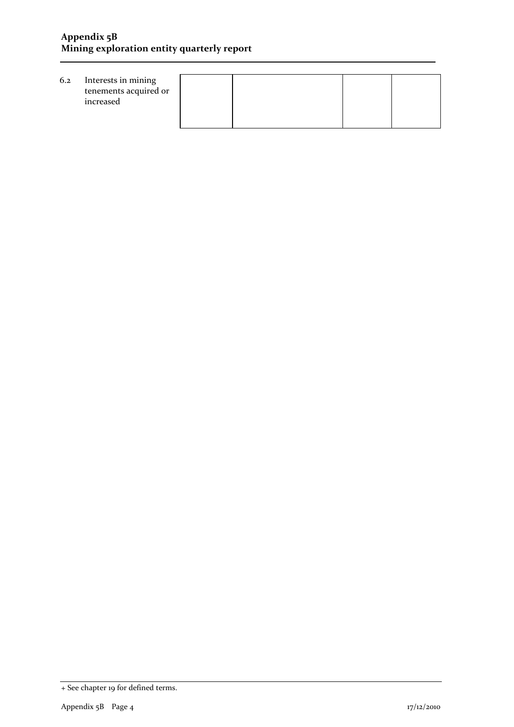| 6.2 | Interests in mining<br>tenements acquired or<br>increased |  |  |
|-----|-----------------------------------------------------------|--|--|
|     |                                                           |  |  |

<sup>+</sup> See chapter 19 for defined terms.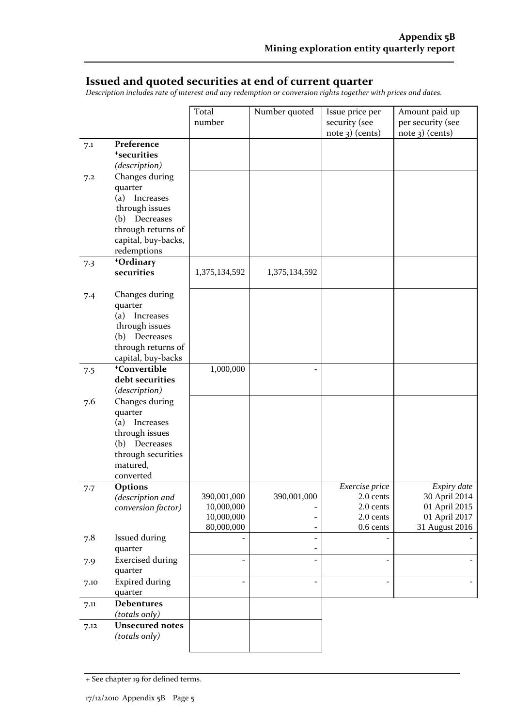## **Issued and quoted securities at end of current quarter**

*Description includes rate of interest and any redemption or conversion rights together with prices and dates.*

|      |                                    | Total<br>number | Number quoted            | Issue price per<br>security (see<br>note 3) (cents) | Amount paid up<br>per security (see<br>$note$ 3) (cents) |
|------|------------------------------------|-----------------|--------------------------|-----------------------------------------------------|----------------------------------------------------------|
| 7.1  | Preference                         |                 |                          |                                                     |                                                          |
|      | <sup>+</sup> securities            |                 |                          |                                                     |                                                          |
|      | (description)                      |                 |                          |                                                     |                                                          |
| 7.2  | Changes during                     |                 |                          |                                                     |                                                          |
|      | quarter                            |                 |                          |                                                     |                                                          |
|      | (a)<br>Increases                   |                 |                          |                                                     |                                                          |
|      | through issues                     |                 |                          |                                                     |                                                          |
|      | Decreases<br>(b)                   |                 |                          |                                                     |                                                          |
|      | through returns of                 |                 |                          |                                                     |                                                          |
|      | capital, buy-backs,                |                 |                          |                                                     |                                                          |
|      | redemptions                        |                 |                          |                                                     |                                                          |
| 7.3  | +Ordinary                          |                 |                          |                                                     |                                                          |
|      | securities                         | 1,375,134,592   | 1,375,134,592            |                                                     |                                                          |
|      |                                    |                 |                          |                                                     |                                                          |
| 7.4  | Changes during<br>quarter          |                 |                          |                                                     |                                                          |
|      | (a) Increases                      |                 |                          |                                                     |                                                          |
|      | through issues                     |                 |                          |                                                     |                                                          |
|      | (b) Decreases                      |                 |                          |                                                     |                                                          |
|      | through returns of                 |                 |                          |                                                     |                                                          |
|      | capital, buy-backs                 |                 |                          |                                                     |                                                          |
| 7.5  | <sup>+</sup> Convertible           | 1,000,000       | ÷                        |                                                     |                                                          |
|      | debt securities                    |                 |                          |                                                     |                                                          |
|      | (description)                      |                 |                          |                                                     |                                                          |
| 7.6  | Changes during                     |                 |                          |                                                     |                                                          |
|      | quarter                            |                 |                          |                                                     |                                                          |
|      | (a) Increases                      |                 |                          |                                                     |                                                          |
|      | through issues<br>(b) Decreases    |                 |                          |                                                     |                                                          |
|      | through securities                 |                 |                          |                                                     |                                                          |
|      | matured,                           |                 |                          |                                                     |                                                          |
|      | converted                          |                 |                          |                                                     |                                                          |
| 7.7  | <b>Options</b>                     |                 |                          | Exercise price                                      | Expiry date                                              |
|      | (description and                   | 390,001,000     | 390,001,000              | 2.0 cents                                           | 30 April 2014                                            |
|      | conversion factor)                 | 10,000,000      |                          | 2.0 cents                                           | 01 April 2015                                            |
|      |                                    | 10,000,000      |                          | 2.0 cents                                           | 01 April 2017                                            |
|      |                                    | 80,000,000      |                          | 0.6 cents                                           | 31 August 2016                                           |
| 7.8  | <b>Issued during</b>               |                 |                          |                                                     |                                                          |
|      | quarter                            |                 | $\overline{a}$           |                                                     |                                                          |
| 7.9  | <b>Exercised during</b><br>quarter |                 |                          |                                                     |                                                          |
|      | <b>Expired during</b>              |                 | $\overline{\phantom{a}}$ |                                                     |                                                          |
| 7.10 | quarter                            |                 |                          |                                                     |                                                          |
| 7.11 | <b>Debentures</b>                  |                 |                          |                                                     |                                                          |
|      | (totals only)                      |                 |                          |                                                     |                                                          |
| 7.12 | <b>Unsecured notes</b>             |                 |                          |                                                     |                                                          |
|      | (totals only)                      |                 |                          |                                                     |                                                          |
|      |                                    |                 |                          |                                                     |                                                          |

<sup>+</sup> See chapter 19 for defined terms.